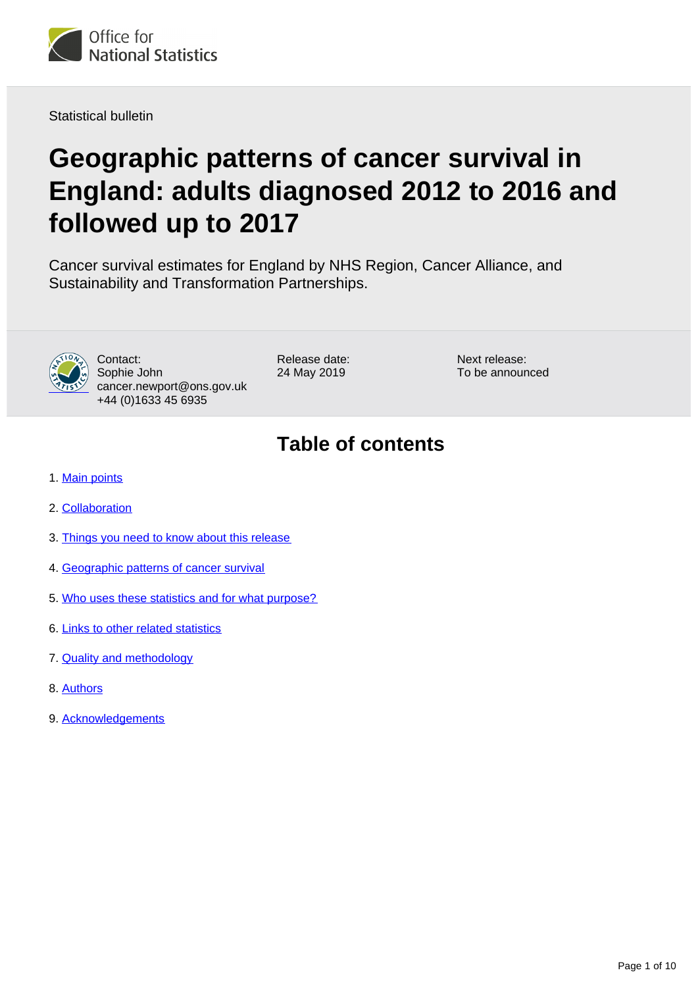

Statistical bulletin

# **Geographic patterns of cancer survival in England: adults diagnosed 2012 to 2016 and followed up to 2017**

Cancer survival estimates for England by NHS Region, Cancer Alliance, and Sustainability and Transformation Partnerships.



Contact: Sophie John cancer.newport@ons.gov.uk +44 (0)1633 45 6935

Release date: 24 May 2019

Next release: To be announced

# **Table of contents**

- 1. [Main points](#page-1-0)
- 2. [Collaboration](#page-1-1)
- 3. [Things you need to know about this release](#page-1-2)
- 4. [Geographic patterns of cancer survival](#page-3-0)
- 5. [Who uses these statistics and for what purpose?](#page-7-0)
- 6. [Links to other related statistics](#page-7-1)
- 7. [Quality and methodology](#page-9-0)
- 8. [Authors](#page-9-1)
- 9. [Acknowledgements](#page-9-2)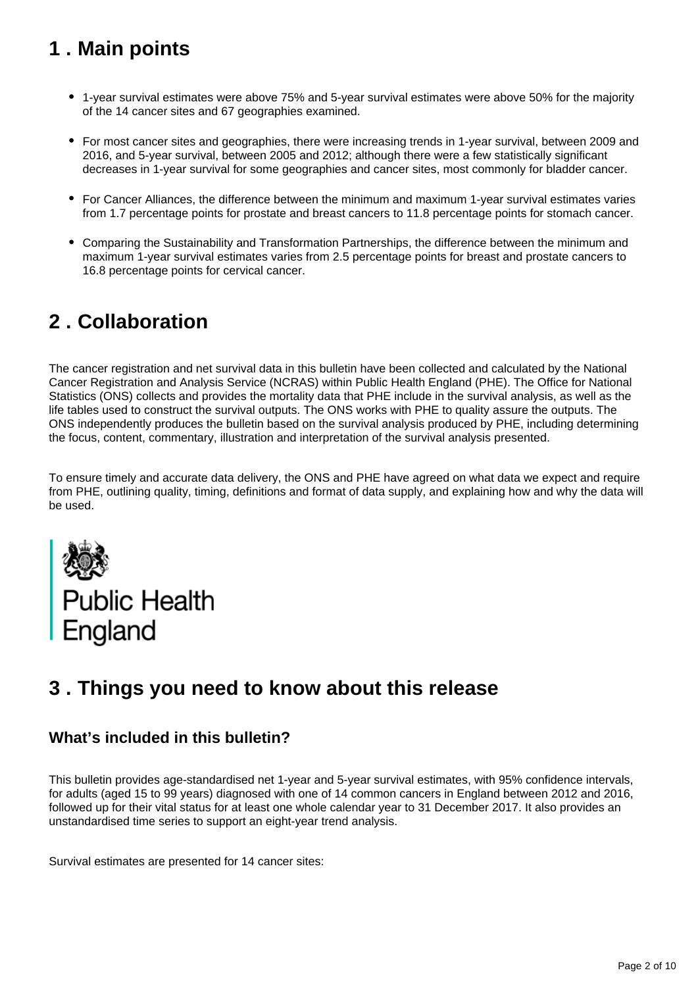# <span id="page-1-0"></span>**1 . Main points**

- 1-year survival estimates were above 75% and 5-year survival estimates were above 50% for the majority of the 14 cancer sites and 67 geographies examined.
- For most cancer sites and geographies, there were increasing trends in 1-year survival, between 2009 and 2016, and 5-year survival, between 2005 and 2012; although there were a few statistically significant decreases in 1-year survival for some geographies and cancer sites, most commonly for bladder cancer.
- For Cancer Alliances, the difference between the minimum and maximum 1-year survival estimates varies from 1.7 percentage points for prostate and breast cancers to 11.8 percentage points for stomach cancer.
- Comparing the Sustainability and Transformation Partnerships, the difference between the minimum and maximum 1-year survival estimates varies from 2.5 percentage points for breast and prostate cancers to 16.8 percentage points for cervical cancer.

# <span id="page-1-1"></span>**2 . Collaboration**

The cancer registration and net survival data in this bulletin have been collected and calculated by the National Cancer Registration and Analysis Service (NCRAS) within Public Health England (PHE). The Office for National Statistics (ONS) collects and provides the mortality data that PHE include in the survival analysis, as well as the life tables used to construct the survival outputs. The ONS works with PHE to quality assure the outputs. The ONS independently produces the bulletin based on the survival analysis produced by PHE, including determining the focus, content, commentary, illustration and interpretation of the survival analysis presented.

To ensure timely and accurate data delivery, the ONS and PHE have agreed on what data we expect and require from PHE, outlining quality, timing, definitions and format of data supply, and explaining how and why the data will be used.



# <span id="page-1-2"></span>**3 . Things you need to know about this release**

### **What's included in this bulletin?**

This bulletin provides age-standardised net 1-year and 5-year survival estimates, with 95% confidence intervals, for adults (aged 15 to 99 years) diagnosed with one of 14 common cancers in England between 2012 and 2016, followed up for their vital status for at least one whole calendar year to 31 December 2017. It also provides an unstandardised time series to support an eight-year trend analysis.

Survival estimates are presented for 14 cancer sites: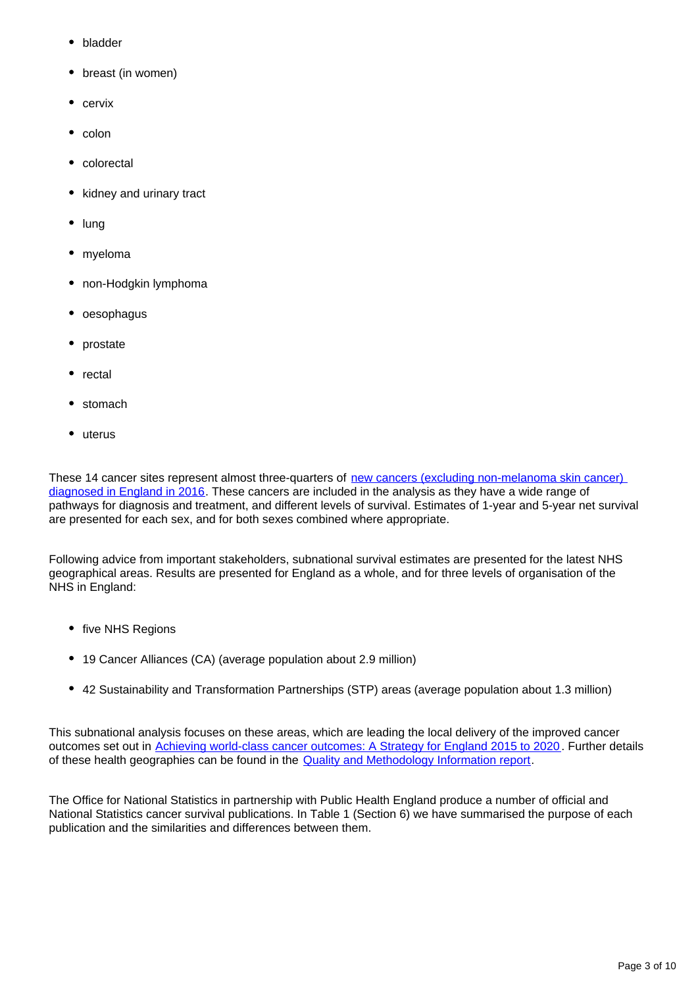- bladder
- breast (in women)
- $\bullet$  cervix
- colon
- colorectal
- kidney and urinary tract  $\bullet$
- lung
- myeloma
- non-Hodgkin lymphoma
- oesophagus
- prostate
- rectal
- stomach
- uterus

These 14 cancer sites represent almost three-quarters of new cancers (excluding non-melanoma skin cancer) [diagnosed in England in 2016](https://www.ons.gov.uk/peoplepopulationandcommunity/healthandsocialcare/conditionsanddiseases/bulletins/cancerregistrationstatisticsengland/final2016). These cancers are included in the analysis as they have a wide range of pathways for diagnosis and treatment, and different levels of survival. Estimates of 1-year and 5-year net survival are presented for each sex, and for both sexes combined where appropriate.

Following advice from important stakeholders, subnational survival estimates are presented for the latest NHS geographical areas. Results are presented for England as a whole, and for three levels of organisation of the NHS in England:

- five NHS Regions
- 19 Cancer Alliances (CA) (average population about 2.9 million)
- 42 Sustainability and Transformation Partnerships (STP) areas (average population about 1.3 million)

This subnational analysis focuses on these areas, which are leading the local delivery of the improved cancer outcomes set out in [Achieving world-class cancer outcomes: A Strategy for England 2015 to 2020](http://www.cancerresearchuk.org/sites/default/files/achieving_world-class_cancer_outcomes_-_a_strategy_for_england_2015-2020.pdf) . Further details of these health geographies can be found in the [Quality and Methodology Information report](https://www.ons.gov.uk/peoplepopulationandcommunity/healthandsocialcare/conditionsanddiseases/methodologies/cancersurvivalstatisticalbulletinsqmi).

The Office for National Statistics in partnership with Public Health England produce a number of official and National Statistics cancer survival publications. In Table 1 (Section 6) we have summarised the purpose of each publication and the similarities and differences between them.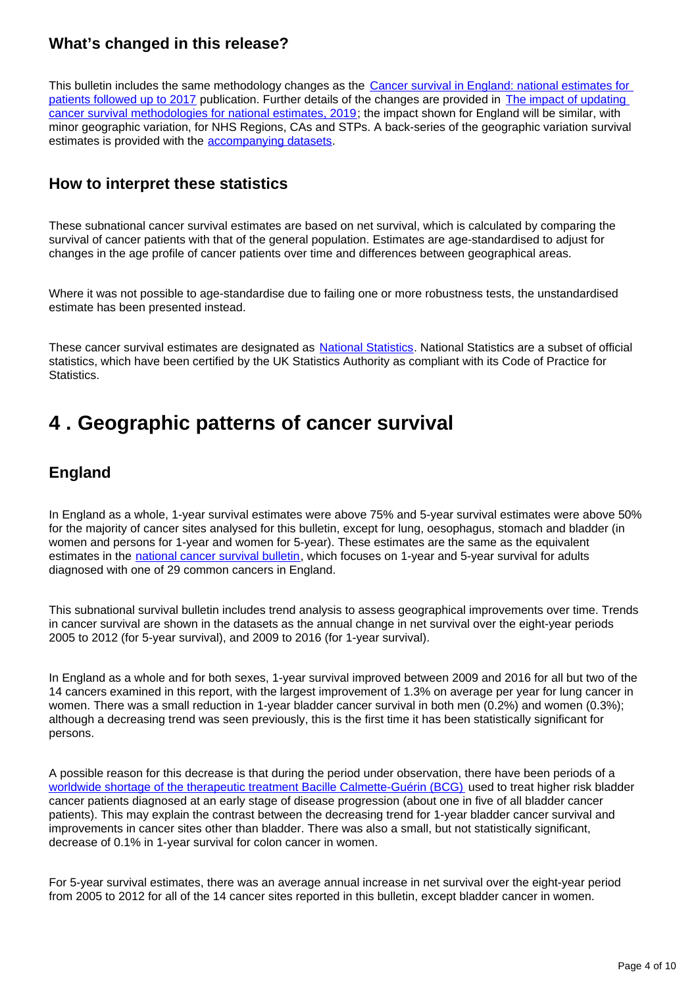### **What's changed in this release?**

This bulletin includes the same methodology changes as the [Cancer survival in England: national estimates for](https://www.ons.gov.uk/peoplepopulationandcommunity/healthandsocialcare/conditionsanddiseases/bulletins/cancersurvivalinengland/nationalestimatesforpatientsfollowedupto2017)  [patients followed up to 2017](https://www.ons.gov.uk/peoplepopulationandcommunity/healthandsocialcare/conditionsanddiseases/bulletins/cancersurvivalinengland/nationalestimatesforpatientsfollowedupto2017) publication. Further details of the changes are provided in [The impact of updating](https://www.ons.gov.uk/peoplepopulationandcommunity/healthandsocialcare/conditionsanddiseases/methodologies/theimpactofupdatingcancersurvivalmethodologiesfornationalestimates2019)  [cancer survival methodologies for national estimates, 2019;](https://www.ons.gov.uk/peoplepopulationandcommunity/healthandsocialcare/conditionsanddiseases/methodologies/theimpactofupdatingcancersurvivalmethodologiesfornationalestimates2019) the impact shown for England will be similar, with minor geographic variation, for NHS Regions, CAs and STPs. A back-series of the geographic variation survival estimates is provided with the [accompanying datasets](https://www.ons.gov.uk/peoplepopulationandcommunity/healthandsocialcare/conditionsanddiseases/datasets/geographicpatternsofcancersurvivalinengland).

### **How to interpret these statistics**

These subnational cancer survival estimates are based on net survival, which is calculated by comparing the survival of cancer patients with that of the general population. Estimates are age-standardised to adjust for changes in the age profile of cancer patients over time and differences between geographical areas.

Where it was not possible to age-standardise due to failing one or more robustness tests, the unstandardised estimate has been presented instead.

These cancer survival estimates are designated as [National Statistics](https://www.statisticsauthority.gov.uk/national-statistician/types-of-official-statistics/). National Statistics are a subset of official statistics, which have been certified by the UK Statistics Authority as compliant with its Code of Practice for Statistics.

### <span id="page-3-0"></span>**4 . Geographic patterns of cancer survival**

### **England**

In England as a whole, 1-year survival estimates were above 75% and 5-year survival estimates were above 50% for the majority of cancer sites analysed for this bulletin, except for lung, oesophagus, stomach and bladder (in women and persons for 1-year and women for 5-year). These estimates are the same as the equivalent estimates in the [national cancer survival bulletin](https://www.ons.gov.uk/peoplepopulationandcommunity/healthandsocialcare/conditionsanddiseases/bulletins/cancersurvivalinengland/nationalestimatesforpatientsfollowedupto2017), which focuses on 1-year and 5-year survival for adults diagnosed with one of 29 common cancers in England.

This subnational survival bulletin includes trend analysis to assess geographical improvements over time. Trends in cancer survival are shown in the datasets as the annual change in net survival over the eight-year periods 2005 to 2012 (for 5-year survival), and 2009 to 2016 (for 1-year survival).

In England as a whole and for both sexes, 1-year survival improved between 2009 and 2016 for all but two of the 14 cancers examined in this report, with the largest improvement of 1.3% on average per year for lung cancer in women. There was a small reduction in 1-year bladder cancer survival in both men (0.2%) and women (0.3%); although a decreasing trend was seen previously, this is the first time it has been statistically significant for persons.

A possible reason for this decrease is that during the period under observation, there have been periods of a [worldwide shortage of the therapeutic treatment Bacille Calmette-Guérin \(BCG\)](https://www.sciencedirect.com/science/article/pii/S0302283814012147) used to treat higher risk bladder cancer patients diagnosed at an early stage of disease progression (about one in five of all bladder cancer patients). This may explain the contrast between the decreasing trend for 1-year bladder cancer survival and improvements in cancer sites other than bladder. There was also a small, but not statistically significant, decrease of 0.1% in 1-year survival for colon cancer in women.

For 5-year survival estimates, there was an average annual increase in net survival over the eight-year period from 2005 to 2012 for all of the 14 cancer sites reported in this bulletin, except bladder cancer in women.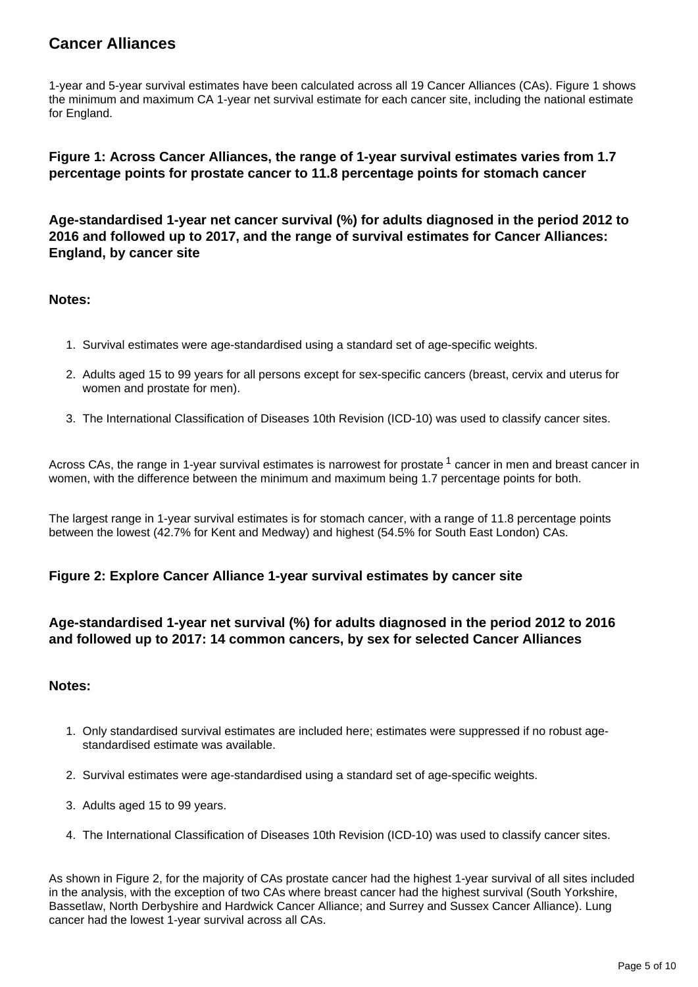### **Cancer Alliances**

1-year and 5-year survival estimates have been calculated across all 19 Cancer Alliances (CAs). Figure 1 shows the minimum and maximum CA 1-year net survival estimate for each cancer site, including the national estimate for England.

#### **Figure 1: Across Cancer Alliances, the range of 1-year survival estimates varies from 1.7 percentage points for prostate cancer to 11.8 percentage points for stomach cancer**

**Age-standardised 1-year net cancer survival (%) for adults diagnosed in the period 2012 to 2016 and followed up to 2017, and the range of survival estimates for Cancer Alliances: England, by cancer site**

#### **Notes:**

- 1. Survival estimates were age-standardised using a standard set of age-specific weights.
- 2. Adults aged 15 to 99 years for all persons except for sex-specific cancers (breast, cervix and uterus for women and prostate for men).
- 3. The International Classification of Diseases 10th Revision (ICD-10) was used to classify cancer sites.

Across CAs, the range in 1-year survival estimates is narrowest for prostate  $1$  cancer in men and breast cancer in women, with the difference between the minimum and maximum being 1.7 percentage points for both.

The largest range in 1-year survival estimates is for stomach cancer, with a range of 11.8 percentage points between the lowest (42.7% for Kent and Medway) and highest (54.5% for South East London) CAs.

#### **Figure 2: Explore Cancer Alliance 1-year survival estimates by cancer site**

#### **Age-standardised 1-year net survival (%) for adults diagnosed in the period 2012 to 2016 and followed up to 2017: 14 common cancers, by sex for selected Cancer Alliances**

#### **Notes:**

- 1. Only standardised survival estimates are included here; estimates were suppressed if no robust agestandardised estimate was available.
- 2. Survival estimates were age-standardised using a standard set of age-specific weights.
- 3. Adults aged 15 to 99 years.
- 4. The International Classification of Diseases 10th Revision (ICD-10) was used to classify cancer sites.

As shown in Figure 2, for the majority of CAs prostate cancer had the highest 1-year survival of all sites included in the analysis, with the exception of two CAs where breast cancer had the highest survival (South Yorkshire, Bassetlaw, North Derbyshire and Hardwick Cancer Alliance; and Surrey and Sussex Cancer Alliance). Lung cancer had the lowest 1-year survival across all CAs.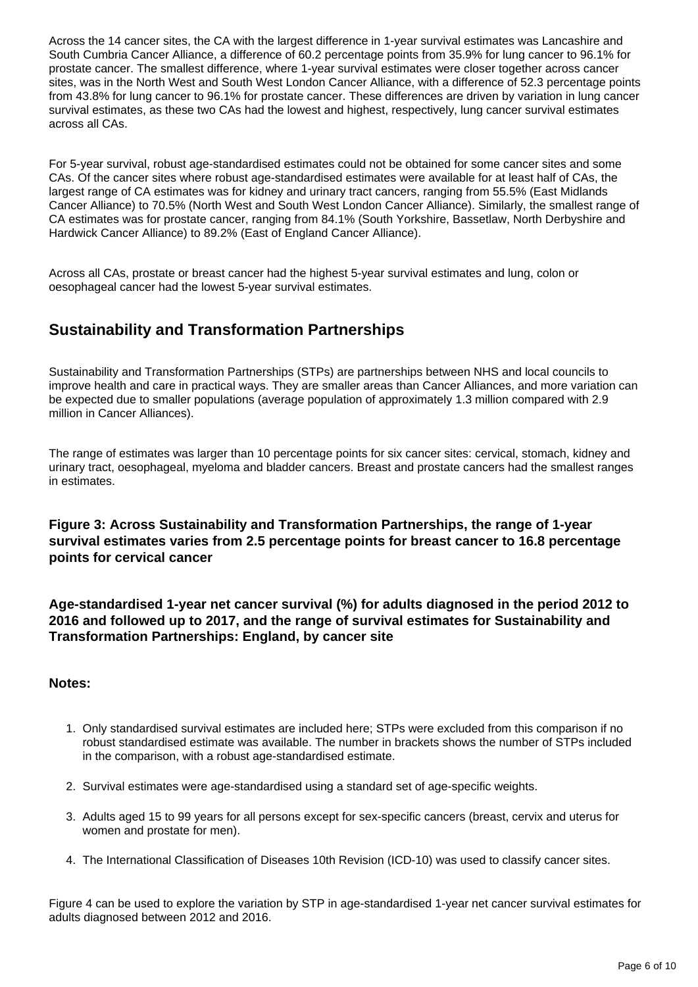Across the 14 cancer sites, the CA with the largest difference in 1-year survival estimates was Lancashire and South Cumbria Cancer Alliance, a difference of 60.2 percentage points from 35.9% for lung cancer to 96.1% for prostate cancer. The smallest difference, where 1-year survival estimates were closer together across cancer sites, was in the North West and South West London Cancer Alliance, with a difference of 52.3 percentage points from 43.8% for lung cancer to 96.1% for prostate cancer. These differences are driven by variation in lung cancer survival estimates, as these two CAs had the lowest and highest, respectively, lung cancer survival estimates across all CAs.

For 5-year survival, robust age-standardised estimates could not be obtained for some cancer sites and some CAs. Of the cancer sites where robust age-standardised estimates were available for at least half of CAs, the largest range of CA estimates was for kidney and urinary tract cancers, ranging from 55.5% (East Midlands Cancer Alliance) to 70.5% (North West and South West London Cancer Alliance). Similarly, the smallest range of CA estimates was for prostate cancer, ranging from 84.1% (South Yorkshire, Bassetlaw, North Derbyshire and Hardwick Cancer Alliance) to 89.2% (East of England Cancer Alliance).

Across all CAs, prostate or breast cancer had the highest 5-year survival estimates and lung, colon or oesophageal cancer had the lowest 5-year survival estimates.

### **Sustainability and Transformation Partnerships**

Sustainability and Transformation Partnerships (STPs) are partnerships between NHS and local councils to improve health and care in practical ways. They are smaller areas than Cancer Alliances, and more variation can be expected due to smaller populations (average population of approximately 1.3 million compared with 2.9 million in Cancer Alliances).

The range of estimates was larger than 10 percentage points for six cancer sites: cervical, stomach, kidney and urinary tract, oesophageal, myeloma and bladder cancers. Breast and prostate cancers had the smallest ranges in estimates.

#### **Figure 3: Across Sustainability and Transformation Partnerships, the range of 1-year survival estimates varies from 2.5 percentage points for breast cancer to 16.8 percentage points for cervical cancer**

**Age-standardised 1-year net cancer survival (%) for adults diagnosed in the period 2012 to 2016 and followed up to 2017, and the range of survival estimates for Sustainability and Transformation Partnerships: England, by cancer site**

#### **Notes:**

- 1. Only standardised survival estimates are included here; STPs were excluded from this comparison if no robust standardised estimate was available. The number in brackets shows the number of STPs included in the comparison, with a robust age-standardised estimate.
- 2. Survival estimates were age-standardised using a standard set of age-specific weights.
- 3. Adults aged 15 to 99 years for all persons except for sex-specific cancers (breast, cervix and uterus for women and prostate for men).
- 4. The International Classification of Diseases 10th Revision (ICD-10) was used to classify cancer sites.

Figure 4 can be used to explore the variation by STP in age-standardised 1-year net cancer survival estimates for adults diagnosed between 2012 and 2016.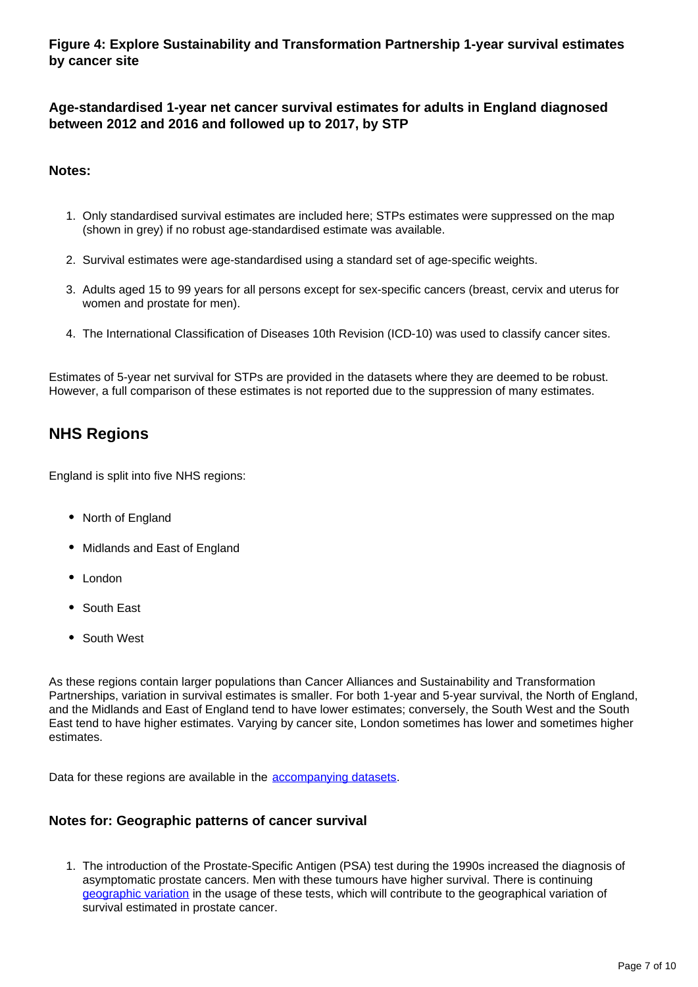**Figure 4: Explore Sustainability and Transformation Partnership 1-year survival estimates by cancer site**

**Age-standardised 1-year net cancer survival estimates for adults in England diagnosed between 2012 and 2016 and followed up to 2017, by STP**

#### **Notes:**

- 1. Only standardised survival estimates are included here; STPs estimates were suppressed on the map (shown in grey) if no robust age-standardised estimate was available.
- 2. Survival estimates were age-standardised using a standard set of age-specific weights.
- 3. Adults aged 15 to 99 years for all persons except for sex-specific cancers (breast, cervix and uterus for women and prostate for men).
- 4. The International Classification of Diseases 10th Revision (ICD-10) was used to classify cancer sites.

Estimates of 5-year net survival for STPs are provided in the datasets where they are deemed to be robust. However, a full comparison of these estimates is not reported due to the suppression of many estimates.

### **NHS Regions**

England is split into five NHS regions:

- North of England
- Midlands and East of England
- London
- South East
- South West

As these regions contain larger populations than Cancer Alliances and Sustainability and Transformation Partnerships, variation in survival estimates is smaller. For both 1-year and 5-year survival, the North of England, and the Midlands and East of England tend to have lower estimates; conversely, the South West and the South East tend to have higher estimates. Varying by cancer site, London sometimes has lower and sometimes higher estimates.

Data for these regions are available in the [accompanying datasets](https://www.ons.gov.uk/peoplepopulationandcommunity/healthandsocialcare/conditionsanddiseases/datasets/geographicpatternsofcancersurvivalinengland).

#### **Notes for: Geographic patterns of cancer survival**

1. The introduction of the Prostate-Specific Antigen (PSA) test during the 1990s increased the diagnosis of asymptomatic prostate cancers. Men with these tumours have higher survival. There is continuing [geographic variation](https://onlinelibrary.wiley.com/doi/full/10.1111/ijcp.12784) in the usage of these tests, which will contribute to the geographical variation of survival estimated in prostate cancer.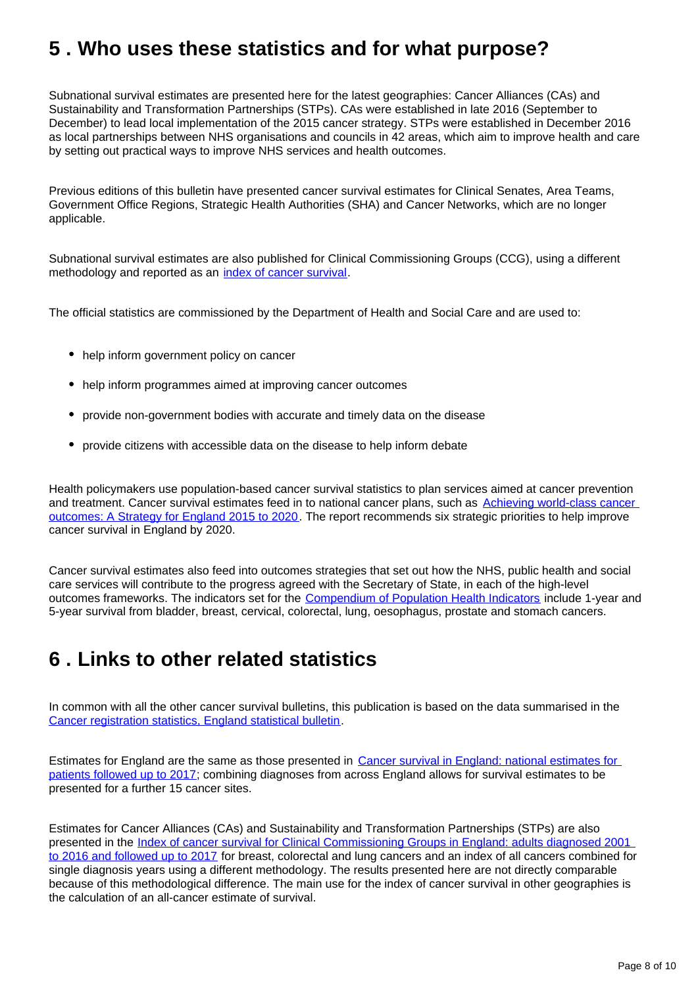# <span id="page-7-0"></span>**5 . Who uses these statistics and for what purpose?**

Subnational survival estimates are presented here for the latest geographies: Cancer Alliances (CAs) and Sustainability and Transformation Partnerships (STPs). CAs were established in late 2016 (September to December) to lead local implementation of the 2015 cancer strategy. STPs were established in December 2016 as local partnerships between NHS organisations and councils in 42 areas, which aim to improve health and care by setting out practical ways to improve NHS services and health outcomes.

Previous editions of this bulletin have presented cancer survival estimates for Clinical Senates, Area Teams, Government Office Regions, Strategic Health Authorities (SHA) and Cancer Networks, which are no longer applicable.

Subnational survival estimates are also published for Clinical Commissioning Groups (CCG), using a different methodology and reported as an [index of cancer survival](https://www.ons.gov.uk/peoplepopulationandcommunity/healthandsocialcare/conditionsanddiseases/bulletins/indexofcancersurvivalforclinicalcommissioninggroupsinengland/adultsdiagnosed2001to2016andfollowedupto2017).

The official statistics are commissioned by the Department of Health and Social Care and are used to:

- help inform government policy on cancer
- help inform programmes aimed at improving cancer outcomes
- provide non-government bodies with accurate and timely data on the disease
- provide citizens with accessible data on the disease to help inform debate

Health policymakers use population-based cancer survival statistics to plan services aimed at cancer prevention and treatment. Cancer survival estimates feed in to national cancer plans, such as Achieving world-class cancer [outcomes: A Strategy for England 2015 to 2020](http://www.cancerresearchuk.org/sites/default/files/achieving_world-class_cancer_outcomes_-_a_strategy_for_england_2015-2020.pdf). The report recommends six strategic priorities to help improve cancer survival in England by 2020.

Cancer survival estimates also feed into outcomes strategies that set out how the NHS, public health and social care services will contribute to the progress agreed with the Secretary of State, in each of the high-level outcomes frameworks. The indicators set for the [Compendium of Population Health Indicators](http://content.digital.nhs.uk/article/1885/Compendium-of-Population-Health-Indicators) include 1-year and 5-year survival from bladder, breast, cervical, colorectal, lung, oesophagus, prostate and stomach cancers.

# <span id="page-7-1"></span>**6 . Links to other related statistics**

In common with all the other cancer survival bulletins, this publication is based on the data summarised in the [Cancer registration statistics, England statistical bulletin.](https://www.ons.gov.uk/peoplepopulationandcommunity/healthandsocialcare/conditionsanddiseases/bulletins/cancerregistrationstatisticsengland/final2016)

Estimates for England are the same as those presented in Cancer survival in England: national estimates for [patients followed up to 2017;](https://www.ons.gov.uk/peoplepopulationandcommunity/healthandsocialcare/conditionsanddiseases/bulletins/cancersurvivalinengland/nationalestimatesforpatientsfollowedupto2017) combining diagnoses from across England allows for survival estimates to be presented for a further 15 cancer sites.

Estimates for Cancer Alliances (CAs) and Sustainability and Transformation Partnerships (STPs) are also presented in the *Index of cancer survival for Clinical Commissioning Groups in England: adults diagnosed 2001* [to 2016 and followed up to 2017](https://www.ons.gov.uk/peoplepopulationandcommunity/healthandsocialcare/conditionsanddiseases/bulletins/indexofcancersurvivalforclinicalcommissioninggroupsinengland/adultsdiagnosed2001to2016andfollowedupto2017) for breast, colorectal and lung cancers and an index of all cancers combined for single diagnosis years using a different methodology. The results presented here are not directly comparable because of this methodological difference. The main use for the index of cancer survival in other geographies is the calculation of an all-cancer estimate of survival.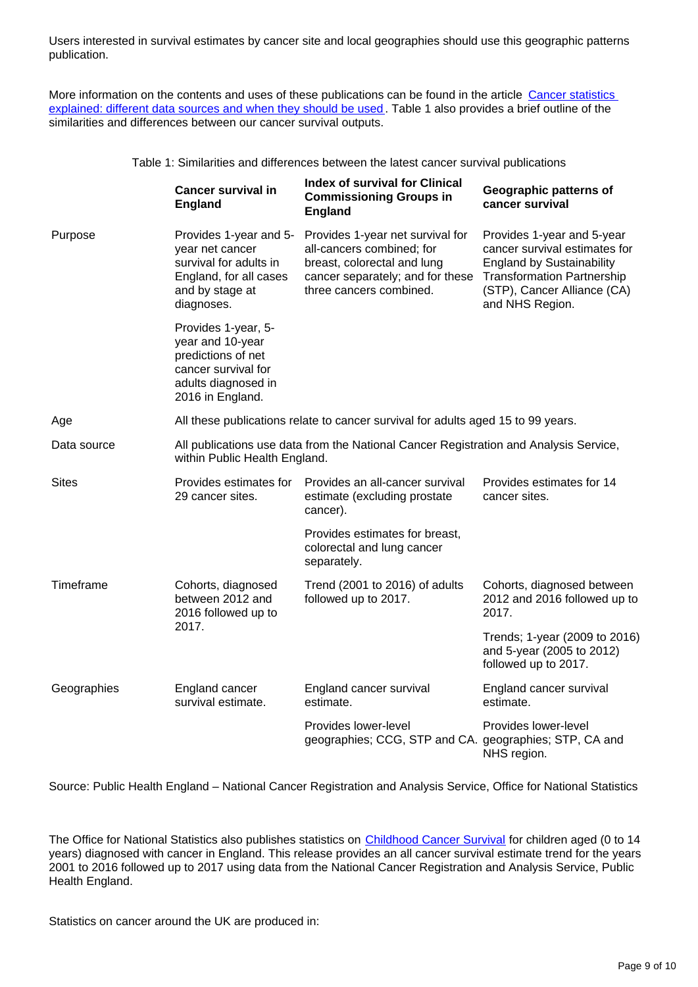Users interested in survival estimates by cancer site and local geographies should use this geographic patterns publication.

More information on the contents and uses of these publications can be found in the article Cancer statistics [explained: different data sources and when they should be used](https://www.ons.gov.uk/peoplepopulationandcommunity/healthandsocialcare/conditionsanddiseases/methodologies/cancerstatisticsexplaineddifferentdatasourcesandwhentheyshouldbeused). Table 1 also provides a brief outline of the similarities and differences between our cancer survival outputs.

Table 1: Similarities and differences between the latest cancer survival publications

|              | <b>Cancer survival in</b><br><b>England</b>                                                                                     | <b>Index of survival for Clinical</b><br><b>Commissioning Groups in</b><br><b>England</b>                                                                   | Geographic patterns of<br>cancer survival                                                                                                                                              |
|--------------|---------------------------------------------------------------------------------------------------------------------------------|-------------------------------------------------------------------------------------------------------------------------------------------------------------|----------------------------------------------------------------------------------------------------------------------------------------------------------------------------------------|
| Purpose      | Provides 1-year and 5-<br>year net cancer<br>survival for adults in<br>England, for all cases<br>and by stage at<br>diagnoses.  | Provides 1-year net survival for<br>all-cancers combined; for<br>breast, colorectal and lung<br>cancer separately; and for these<br>three cancers combined. | Provides 1-year and 5-year<br>cancer survival estimates for<br><b>England by Sustainability</b><br><b>Transformation Partnership</b><br>(STP), Cancer Alliance (CA)<br>and NHS Region. |
|              | Provides 1-year, 5-<br>year and 10-year<br>predictions of net<br>cancer survival for<br>adults diagnosed in<br>2016 in England. |                                                                                                                                                             |                                                                                                                                                                                        |
| Age          | All these publications relate to cancer survival for adults aged 15 to 99 years.                                                |                                                                                                                                                             |                                                                                                                                                                                        |
| Data source  | All publications use data from the National Cancer Registration and Analysis Service,<br>within Public Health England.          |                                                                                                                                                             |                                                                                                                                                                                        |
| <b>Sites</b> | Provides estimates for<br>29 cancer sites.                                                                                      | Provides an all-cancer survival<br>estimate (excluding prostate<br>cancer).                                                                                 | Provides estimates for 14<br>cancer sites.                                                                                                                                             |
|              |                                                                                                                                 | Provides estimates for breast,<br>colorectal and lung cancer<br>separately.                                                                                 |                                                                                                                                                                                        |
| Timeframe    | Cohorts, diagnosed<br>between 2012 and<br>2016 followed up to<br>2017.                                                          | Trend (2001 to 2016) of adults<br>followed up to 2017.                                                                                                      | Cohorts, diagnosed between<br>2012 and 2016 followed up to<br>2017.                                                                                                                    |
|              |                                                                                                                                 |                                                                                                                                                             | Trends; 1-year (2009 to 2016)<br>and 5-year (2005 to 2012)<br>followed up to 2017.                                                                                                     |
| Geographies  | England cancer<br>survival estimate.                                                                                            | England cancer survival<br>estimate.                                                                                                                        | England cancer survival<br>estimate.                                                                                                                                                   |
|              |                                                                                                                                 | Provides lower-level<br>geographies; CCG, STP and CA. geographies; STP, CA and                                                                              | Provides lower-level<br>NHS region.                                                                                                                                                    |

Source: Public Health England – National Cancer Registration and Analysis Service, Office for National Statistics

The Office for National Statistics also publishes statistics on [Childhood Cancer Survival](https://www.ons.gov.uk/peoplepopulationandcommunity/healthandsocialcare/conditionsanddiseases/bulletins/cancersurvivalinengland/patientsfollowedupto2017) for children aged (0 to 14 years) diagnosed with cancer in England. This release provides an all cancer survival estimate trend for the years 2001 to 2016 followed up to 2017 using data from the National Cancer Registration and Analysis Service, Public Health England.

Statistics on cancer around the UK are produced in: